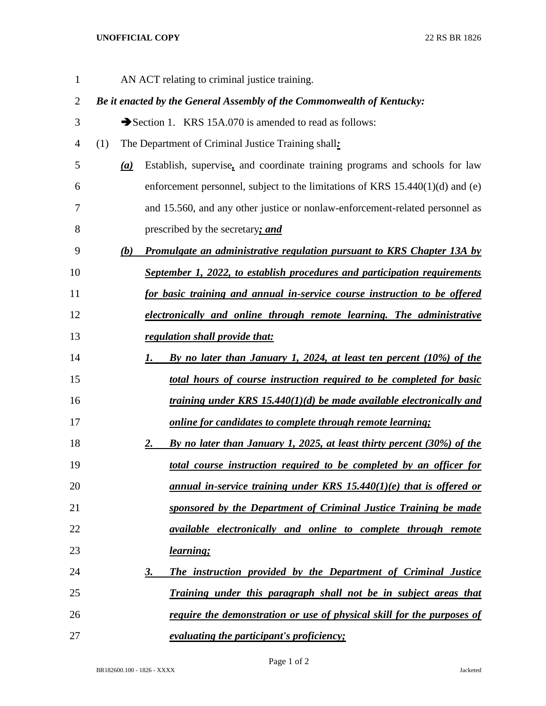## **UNOFFICIAL COPY** 22 RS BR 1826

| $\mathbf{1}$   | AN ACT relating to criminal justice training.                                       |
|----------------|-------------------------------------------------------------------------------------|
| $\overline{c}$ | Be it enacted by the General Assembly of the Commonwealth of Kentucky:              |
| 3              | Section 1. KRS 15A.070 is amended to read as follows:                               |
| 4              | The Department of Criminal Justice Training shall:<br>(1)                           |
| 5              | Establish, supervise, and coordinate training programs and schools for law<br>(a)   |
| 6              | enforcement personnel, subject to the limitations of KRS $15.440(1)(d)$ and (e)     |
| 7              | and 15.560, and any other justice or nonlaw-enforcement-related personnel as        |
| 8              | prescribed by the secretary; and                                                    |
| 9              | (b)<br>Promulgate an administrative regulation pursuant to KRS Chapter 13A by       |
| 10             | September 1, 2022, to establish procedures and participation requirements           |
| 11             | for basic training and annual in-service course instruction to be offered           |
| 12             | electronically and online through remote learning. The administrative               |
| 13             | regulation shall provide that:                                                      |
| 14             | By no later than January 1, 2024, at least ten percent (10%) of the<br>1.           |
| 15             | total hours of course instruction required to be completed for basic                |
| 16             | training under KRS 15.440(1)(d) be made available electronically and                |
| 17             | <u>online for candidates to complete through remote learning;</u>                   |
| 18             | By no later than January 1, 2025, at least thirty percent (30%) of the<br><u>2.</u> |
| 19             | total course instruction required to be completed by an officer for                 |
| 20             | <u>annual in-service training under KRS 15.440(1)(e) that is offered or</u>         |
| 21             | sponsored by the Department of Criminal Justice Training be made                    |
| 22             | <i>available electronically and online to complete through remote</i>               |
| 23             | learning;                                                                           |
| 24             | The instruction provided by the Department of Criminal Justice<br><u>3.</u>         |
| 25             | <u>Training under this paragraph shall not be in subject areas that</u>             |
| 26             | <u>require the demonstration or use of physical skill for the purposes of</u>       |
| 27             | <i>evaluating the participant's proficiency;</i>                                    |